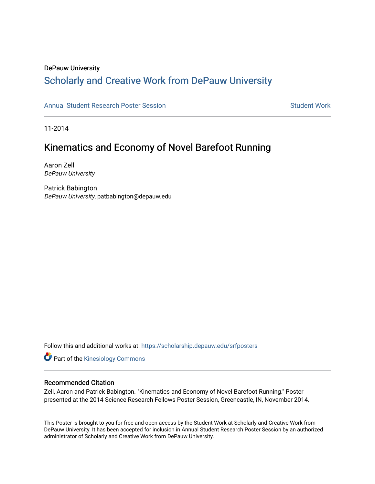#### DePauw University

#### Scholarly and [Creative Work from DePauw Univ](https://scholarship.depauw.edu/)ersity

[Annual Student Research Poster Session](https://scholarship.depauw.edu/srfposters) Student Work

11-2014

#### Kinematics and Economy of Novel Barefoot Running

Aaron Zell DePauw University

Patrick Babington DePauw University, patbabington@depauw.edu

Follow this and additional works at: [https://scholarship.depauw.edu/srfposters](https://scholarship.depauw.edu/srfposters?utm_source=scholarship.depauw.edu%2Fsrfposters%2F12&utm_medium=PDF&utm_campaign=PDFCoverPages) 

**Part of the Kinesiology Commons** 

#### Recommended Citation

Zell, Aaron and Patrick Babington. "Kinematics and Economy of Novel Barefoot Running." Poster presented at the 2014 Science Research Fellows Poster Session, Greencastle, IN, November 2014.

This Poster is brought to you for free and open access by the Student Work at Scholarly and Creative Work from DePauw University. It has been accepted for inclusion in Annual Student Research Poster Session by an authorized administrator of Scholarly and Creative Work from DePauw University.